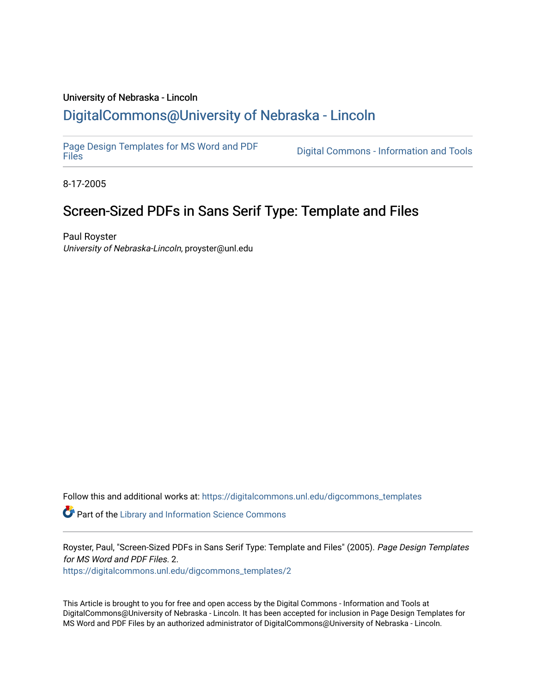# University of Nebraska - Lincoln [DigitalCommons@University of Nebraska - Lincoln](https://digitalcommons.unl.edu/)

[Page Design Templates for MS Word and PDF](https://digitalcommons.unl.edu/digcommons_templates)

Digital Commons - Information and Tools

8-17-2005

# Screen-Sized PDFs in Sans Serif Type: Template and Files

Paul Royster University of Nebraska-Lincoln, proyster@unl.edu

Follow this and additional works at: [https://digitalcommons.unl.edu/digcommons\\_templates](https://digitalcommons.unl.edu/digcommons_templates?utm_source=digitalcommons.unl.edu%2Fdigcommons_templates%2F2&utm_medium=PDF&utm_campaign=PDFCoverPages) 

**P** Part of the Library and Information Science Commons

Royster, Paul, "Screen-Sized PDFs in Sans Serif Type: Template and Files" (2005). Page Design Templates for MS Word and PDF Files. 2.

[https://digitalcommons.unl.edu/digcommons\\_templates/2](https://digitalcommons.unl.edu/digcommons_templates/2?utm_source=digitalcommons.unl.edu%2Fdigcommons_templates%2F2&utm_medium=PDF&utm_campaign=PDFCoverPages) 

This Article is brought to you for free and open access by the Digital Commons - Information and Tools at DigitalCommons@University of Nebraska - Lincoln. It has been accepted for inclusion in Page Design Templates for MS Word and PDF Files by an authorized administrator of DigitalCommons@University of Nebraska - Lincoln.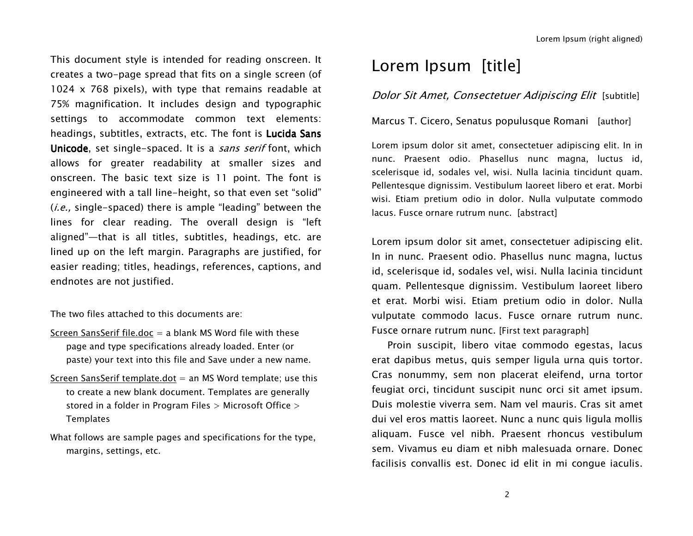This document style is intended for reading onscreen. It creates a two-page spread that fits on <sup>a</sup> single screen (of 1024 <sup>x</sup> 768 pixels), with type that remains readable at 75% magnification. It includes design and typographic settings to accommodate common text elements: headings, subtitles, extracts, etc. The font is Lucida Sans Unicode, set single-spaced. It is a sans serif font, which allows for greater readability at smaller sizes and onscreen. The basic text size is 11 point. The font is engineered with <sup>a</sup> tall line-height, so that even set "solid" (*i.e.*, single-spaced) there is ample "leading" between the lines for clear reading. The overall design is "left aligned"—that is all titles, subtitles, headings, etc. are lined up on the left margin. Paragraphs are justified, for easier reading; titles, headings, references, captions, and endnotes are not justified.

The two files attached to this documents are:

- Screen SansSerif file.doc <sup>=</sup> <sup>a</sup> blank MS Word file with these page and type specifications already loaded. Enter (or paste) your text into this file and Save under <sup>a</sup> new name.
- <u>Screen SansSerif template.dot</u> = an MS Word template; use this to create a new blank document. Templates are generally stored in <sup>a</sup> folder in Program Files <sup>&</sup>gt; Microsoft Office <sup>&</sup>gt; **Templates**
- What follows are sample pages and specifications for the type, margins, settings, etc.

# Lorem Ipsum [title]

### Dolor Sit Amet, Consectetuer Adipiscing Elit [subtitle]

#### Marcus T. Cicero, Senatus populusque Romani [author]

Lorem ipsum dolor sit amet, consectetuer adipiscing elit. In in nunc. Praesent odio. Phasellus nunc magna, luctus id, scelerisque id, sodales vel, wisi. Nulla lacinia tincidunt quam. Pellentesque dignissim. Vestibulum laoreet libero et erat. Morbi wisi. Etiam pretium odio in dolor. Nulla vulputate commodo lacus. Fusce ornare rutrum nunc. [abstract]

Lorem ipsum dolor sit amet, consectetuer adipiscing elit. In in nunc. Praesent odio. Phasellus nunc magna, luctus id, scelerisque id, sodales vel, wisi. Nulla lacinia tincidunt quam. Pellentesque dignissim. Vestibulum laoreet libero et erat. Morbi wisi. Etiam pretium odio in dolor. Nulla vulputate commodo lacus. Fusce ornare rutrum nunc. Fusce ornare rutrum nunc. [First text paragraph]

Proin suscipit, libero vitae commodo egestas, lacus erat dapibus metus, quis semper ligula urna quis tortor. Cras nonummy, sem non placerat eleifend, urna tortor feugiat orci, tincidunt suscipit nunc orci sit amet ipsum. Duis molestie viverra sem. Nam vel mauris. Cras sit amet dui vel eros mattis laoreet. Nunc a nunc quis ligula mollis aliquam. Fusce vel nibh. Praesent rhoncus vestibulum sem. Vivamus eu diam et nibh malesuada ornare. Donec facilisis convallis est. Donec id elit in mi congue iaculis.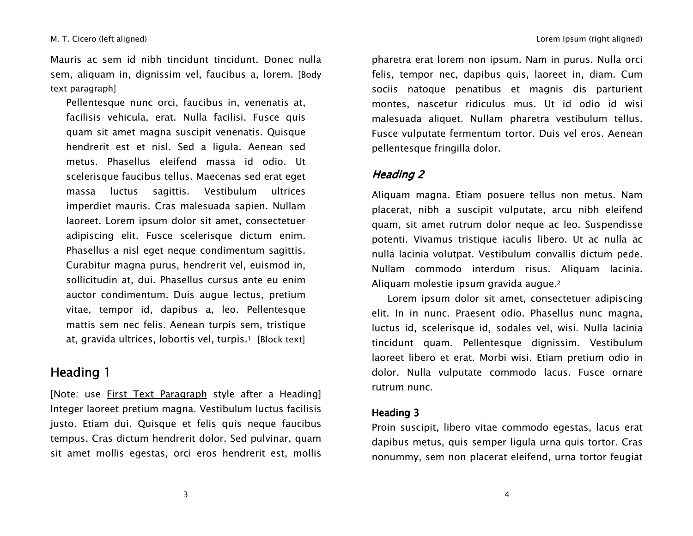Mauris ac sem id nibh tincidunt tincidunt. Donec nulla sem, aliquam in, dignissim vel, faucibus a, lorem. [Body text paragraph]

Pellentesque nunc orci, faucibus in, venenatis at, facilisis vehicula, erat. Nulla facilisi. Fusce quis quam sit amet magna suscipit venenatis. Quisque hendrerit est et nisl. Sed <sup>a</sup> ligula. Aenean sed metus. Phasellus eleifend massa id odio. Ut scelerisque faucibus tellus. Maecenas sed erat eget massa luctus sagittis. Vestibulum ultrices imperdiet mauris. Cras malesuada sapien. Nullam laoreet. Lorem ipsum dolor sit amet, consectetuer adipiscing elit. Fusce scelerisque dictum enim. Phasellus a nisl eget neque condimentum sagittis. Curabitur magna purus, hendrerit vel, euismod in, sollicitudin at, dui. Phasellus cursus ante eu enim auctor condimentum. Duis augue lectus, pretium vitae, tempor id, dapibus a, leo. Pellentesque mattis sem nec felis. Aenean turpis sem, tristique at, gravida ultrices, lobortis vel, turpis.<sup>1</sup> [Block text]

# Heading 1

[Note: use First Text Paragraph style after <sup>a</sup> Heading] Integer laoreet pretium magna. Vestibulum luctus facilisis justo. Etiam dui. Quisque et felis quis neque faucibus tempus. Cras dictum hendrerit dolor. Sed pulvinar, quam sit amet mollis egestas, orci eros hendrerit est, mollis

pharetra erat lorem non ipsum. Nam in purus. Nulla orci felis, tempor nec, dapibus quis, laoreet in, diam. Cum sociis natoque penatibus et magnis dis parturient montes, nascetur ridiculus mus. Ut id odio id wisi malesuada aliquet. Nullam pharetra vestibulum tellus. Fusce vulputate fermentum tortor. Duis vel eros. Aenean pellentesque fringilla dolor.

## Heading 2

Aliquam magna. Etiam posuere tellus non metus. Nam placerat, nibh <sup>a</sup> suscipit vulputate, arcu nibh eleifend quam, sit amet rutrum dolor neque ac leo. Suspendisse potenti. Vivamus tristique iaculis libero. Ut ac nulla ac nulla lacinia volutpat. Vestibulum convallis dictum pede. Nullam commodo interdum risus. Aliquam lacinia. Aliquam molestie ipsum gravida augue.<sup>2</sup>

Lorem ipsum dolor sit amet, consectetuer adipiscing elit. In in nunc. Praesent odio. Phasellus nunc magna, luctus id, scelerisque id, sodales vel, wisi. Nulla lacinia tincidunt quam. Pellentesque dignissim. Vestibulum laoreet libero et erat. Morbi wisi. Etiam pretium odio in dolor. Nulla vulputate commodo lacus. Fusce ornare rutrum nunc.

### Heading 3

Proin suscipit, libero vitae commodo egestas, lacus erat dapibus metus, quis semper ligula urna quis tortor. Cras nonummy, sem non placerat eleifend, urna tortor feugiat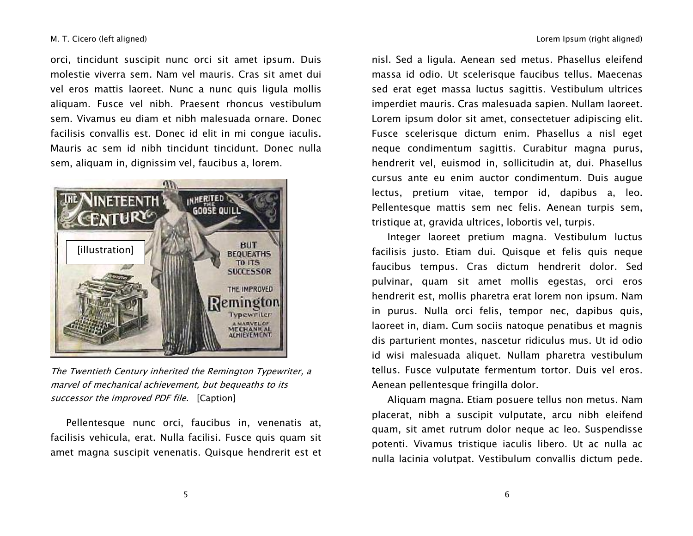orci, tincidunt suscipit nunc orci sit amet ipsum. Duis molestie viverra sem. Nam vel mauris. Cras sit amet dui vel eros mattis laoreet. Nunc a nunc quis ligula mollis aliquam. Fusce vel nibh. Praesent rhoncus vestibulum sem. Vivamus eu diam et nibh malesuada ornare. Donec facilisis convallis est. Donec id elit in mi congue iaculis. Mauris ac sem id nibh tincidunt tincidunt. Donec nulla sem, aliquam in, dignissim vel, faucibus a, lorem.



The Twentieth Century inherited the Remington Typewriter, <sup>a</sup> marvel of mechanical achievement, but bequeaths to its successor the improved PDF file. [Caption]

Pellentesque nunc orci, faucibus in, venenatis at, facilisis vehicula, erat. Nulla facilisi. Fusce quis quam sit amet magna suscipit venenatis. Quisque hendrerit est et

nisl. Sed <sup>a</sup> ligula. Aenean sed metus. Phasellus eleifend massa id odio. Ut scelerisque faucibus tellus. Maecenas sed erat eget massa luctus sagittis. Vestibulum ultrices imperdiet mauris. Cras malesuada sapien. Nullam laoreet. Lorem ipsum dolor sit amet, consectetuer adipiscing elit. Fusce scelerisque dictum enim. Phasellus <sup>a</sup> nisl eget neque condimentum sagittis. Curabitur magna purus, hendrerit vel, euismod in, sollicitudin at, dui. Phasellus cursus ante eu enim auctor condimentum. Duis augue lectus, pretium vitae, tempor id, dapibus a, leo. Pellentesque mattis sem nec felis. Aenean turpis sem, tristique at, gravida ultrices, lobortis vel, turpis.

Integer laoreet pretium magna. Vestibulum luctus facilisis justo. Etiam dui. Quisque et felis quis neque faucibus tempus. Cras dictum hendrerit dolor. Sed pulvinar, quam sit amet mollis egestas, orci eros hendrerit est, mollis pharetra erat lorem non ipsum. Nam in purus. Nulla orci felis, tempor nec, dapibus quis, laoreet in, diam. Cum sociis natoque penatibus et magnis dis parturient montes, nascetur ridiculus mus. Ut id odio id wisi malesuada aliquet. Nullam pharetra vestibulum tellus. Fusce vulputate fermentum tortor. Duis vel eros. Aenean pellentesque fringilla dolor.

Aliquam magna. Etiam posuere tellus non metus. Nam placerat, nibh <sup>a</sup> suscipit vulputate, arcu nibh eleifend quam, sit amet rutrum dolor neque ac leo. Suspendisse potenti. Vivamus tristique iaculis libero. Ut ac nulla ac nulla lacinia volutpat. Vestibulum convallis dictum pede.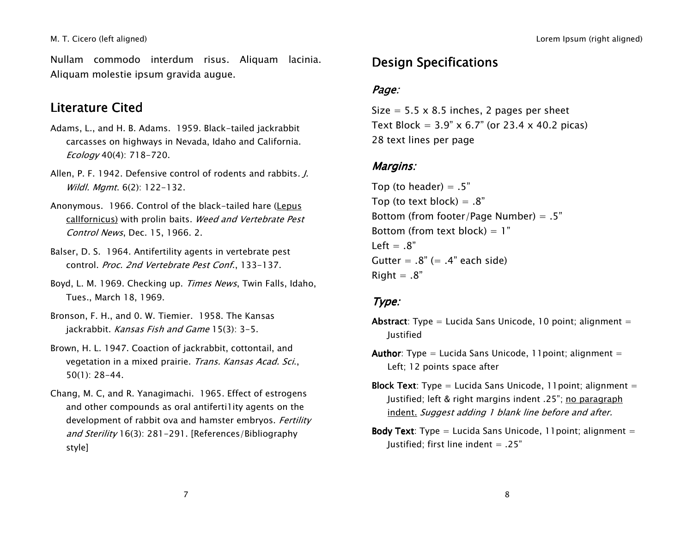Nullam commodo interdum risus. Aliquam lacinia. Aliquam molestie ipsum gravida augue.

# Literature Cited

- Adams, L., and H. B. Adams. 1959. Black-tailed jackrabbit carcasses on highways in Nevada, Idaho and California. Ecology 40(4): 718-720.
- Allen, P. F. 1942. Defensive control of rodents and rabbits. *J.* Wildl. Mgmt. 6(2): 122-132.
- Anonymous. 1966. Control of the black-tailed hare (Lepus calIfornicus) with prolin baits. Weed and Vertebrate Pest Control News, Dec. 15, 1966. 2.
- Balser, D. S. 1964. Antifertility agents in vertebrate pest control. *Proc. 2nd Vertebrate Pest Conf*., 133–137.
- Boyd, L. M. 1969. Checking up. Times News, Twin Falls, Idaho, Tues., March 18, 1969.
- Bronson, F. H., and 0. W. Tiemier. 1958. The Kansas jackrabbit. Kansas Fish and Game 15(3): 3-5.
- Brown, H. L. 1947. Coaction of jackrabbit, cottontail, and vegetation in <sup>a</sup> mixed prairie. Trans. Kansas Acad. Sci., 50(1): 28-44.
- Chang, M. C, and R. Yanagimachi. 1965. Effect of estrogens and other compounds as oral antiferti1ity agents on the development of rabbit ova and hamster embryos. *Fertility and Sterility* 16(3): 281–291. [References/Bibliography style]

# Design Specifications

## Page:

Size <sup>=</sup> 5.5 <sup>x</sup> 8.5 inches, 2 pages per sheet Text Block <sup>=</sup> 3.9" <sup>x</sup> 6.7" (or 23.4 <sup>x</sup> 40.2 picas) 28 text lines per page

## Margins:

Top (to header)  $= .5"$ Top (to text block)  $= .8"$ Bottom (from footer/Page Number) <sup>=</sup> .5" Bottom (from text block) <sup>=</sup> 1" Left <sup>=</sup> .8" Gutter <sup>=</sup> .8" (= .4" each side)  $Riaht = .8"$ 

## Type:

- **Abstract**: Type = Lucida Sans Unicode, 10 point; alignment = Justified
- **Author:** Type = Lucida Sans Unicode, 11 point; alignment = Left; 12 points space after
- **Block Text**: Type = Lucida Sans Unicode, 11point; alignment = Justified; left & right margins indent .25"; no paragraph indent. Suggest adding 1 blank line before and after.
- **Body Text:** Type = Lucida Sans Unicode, 11 point; alignment = Justified; first line indent  $= .25"$